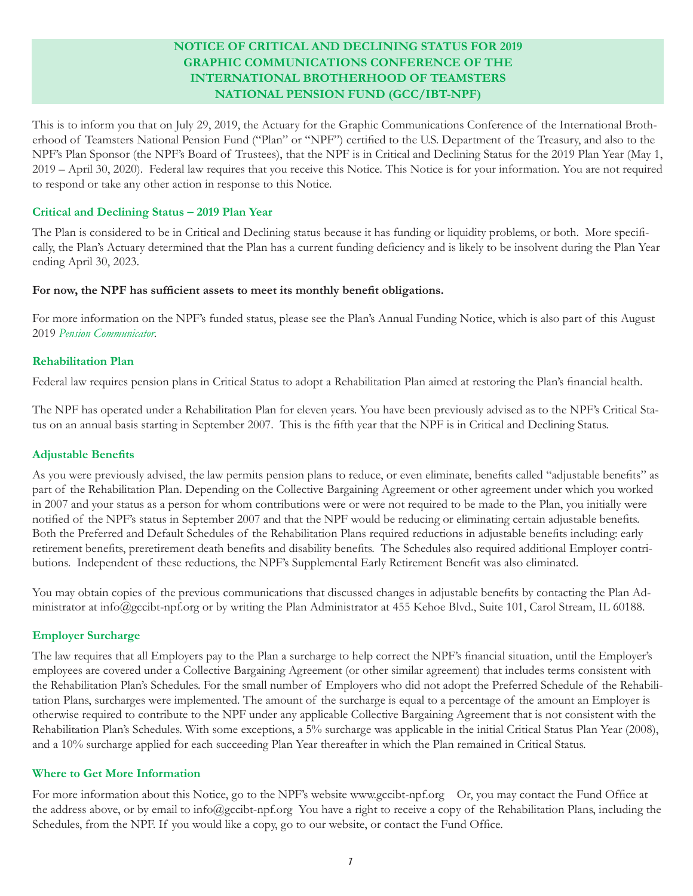# **NOTICE OF CRITICAL AND DECLINING STATUS FOR 2019 GRAPHIC COMMUNICATIONS CONFERENCE OF THE INTERNATIONAL BROTHERHOOD OF TEAMSTERS NATIONAL PENSION FUND (GCC/IBT-NPF)**

This is to inform you that on July 29, 2019, the Actuary for the Graphic Communications Conference of the International Brotherhood of Teamsters National Pension Fund ("Plan" or "NPF") certified to the U.S. Department of the Treasury, and also to the NPF's Plan Sponsor (the NPF's Board of Trustees), that the NPF is in Critical and Declining Status for the 2019 Plan Year (May 1, 2019 – April 30, 2020). Federal law requires that you receive this Notice. This Notice is for your information. You are not required to respond or take any other action in response to this Notice.

## **Critical and Declining Status – 2019 Plan Year**

The Plan is considered to be in Critical and Declining status because it has funding or liquidity problems, or both. More specifically, the Plan's Actuary determined that the Plan has a current funding deficiency and is likely to be insolvent during the Plan Year ending April 30, 2023.

#### **For now, the NPF has sufficient assets to meet its monthly benefit obligations.**

For more information on the NPF's funded status, please see the Plan's Annual Funding Notice, which is also part of this August 2019 *Pension Communicator.* 

### **Rehabilitation Plan**

Federal law requires pension plans in Critical Status to adopt a Rehabilitation Plan aimed at restoring the Plan's financial health.

The NPF has operated under a Rehabilitation Plan for eleven years. You have been previously advised as to the NPF's Critical Status on an annual basis starting in September 2007. This is the fifth year that the NPF is in Critical and Declining Status.

#### **Adjustable Benefits**

As you were previously advised, the law permits pension plans to reduce, or even eliminate, benefits called "adjustable benefits" as part of the Rehabilitation Plan. Depending on the Collective Bargaining Agreement or other agreement under which you worked in 2007 and your status as a person for whom contributions were or were not required to be made to the Plan, you initially were notified of the NPF's status in September 2007 and that the NPF would be reducing or eliminating certain adjustable benefits. Both the Preferred and Default Schedules of the Rehabilitation Plans required reductions in adjustable benefits including: early retirement benefits, preretirement death benefits and disability benefits. The Schedules also required additional Employer contributions. Independent of these reductions, the NPF's Supplemental Early Retirement Benefit was also eliminated.

You may obtain copies of the previous communications that discussed changes in adjustable benefits by contacting the Plan Administrator at [info@gccibt-npf.org](mailto:info@gccibt-npf.org) or by writing the Plan Administrator at 455 Kehoe Blvd., Suite 101, Carol Stream, IL 60188.

# **Employer Surcharge**

The law requires that all Employers pay to the Plan a surcharge to help correct the NPF's financial situation, until the Employer's employees are covered under a Collective Bargaining Agreement (or other similar agreement) that includes terms consistent with the Rehabilitation Plan's Schedules. For the small number of Employers who did not adopt the Preferred Schedule of the Rehabilitation Plans, surcharges were implemented. The amount of the surcharge is equal to a percentage of the amount an Employer is otherwise required to contribute to the NPF under any applicable Collective Bargaining Agreement that is not consistent with the Rehabilitation Plan's Schedules. With some exceptions, a 5% surcharge was applicable in the initial Critical Status Plan Year (2008), and a 10% surcharge applied for each succeeding Plan Year thereafter in which the Plan remained in Critical Status.

#### **Where to Get More Information**

For more information about this Notice, go to the NPF's website <www.gccibt-npf.org>Or, you may contact the Fund Office at the address above, or by email to [info@gccibt-npf.org](mailto:info@gccibt-npf.org) You have a right to receive a copy of the Rehabilitation Plans, including the Schedules, from the NPF. If you would like a copy, go to our website, or contact the Fund Office.